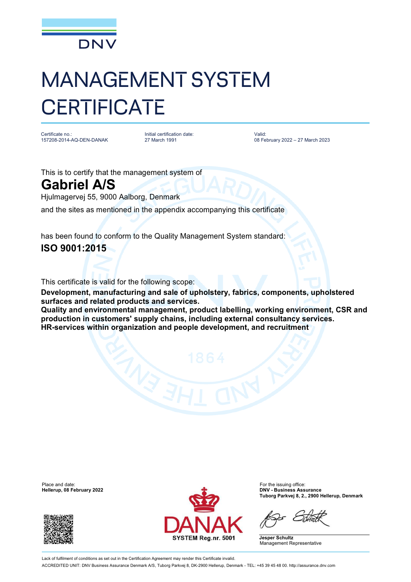

## MANAGEMENT SYSTEM **CERTIFICATE**

Certificate no.: 157208-2014-AQ-DEN-DANAK Initial certification date: 27 March 1991

Valid: 08 February 2022 – 27 March 2023

This is to certify that the management system of

## **Gabriel A/S**

Hjulmagervej 55, 9000 Aalborg, Denmark

and the sites as mentioned in the appendix accompanying this certificate

has been found to conform to the Quality Management System standard: **ISO 9001:2015**

This certificate is valid for the following scope:

**Development, manufacturing and sale of upholstery, fabrics, components, upholstered surfaces and related products and services.**

**Quality and environmental management, product labelling, working environment, CSR and production in customers' supply chains, including external consultancy services. HR-services within organization and people development, and recruitment**

**Hellerup, 08 February 2022** 





**Tuborg Parkvej 8, 2., 2900 Hellerup, Denmark**

**Jesper Schultz** Management Representative

Lack of fulfilment of conditions as set out in the Certification Agreement may render this Certificate invalid. ACCREDITED UNIT: DNV Business Assurance Denmark A/S, Tuborg Parkvej 8, DK-2900 Hellerup, Denmark - TEL: +45 39 45 48 00. <http://assurance.dnv.com>